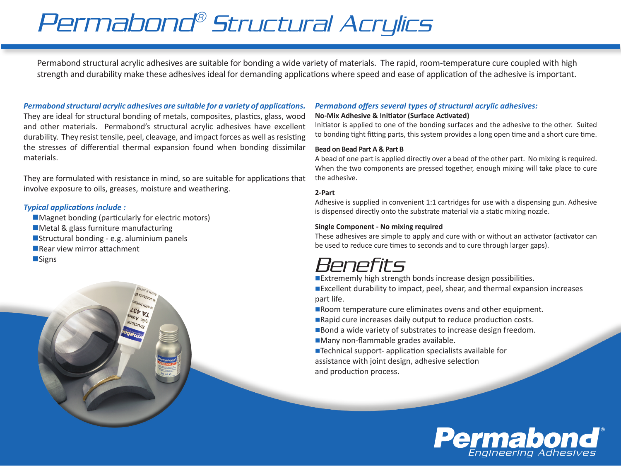# Permabond® Structural Acrylics

Permabond structural acrylic adhesives are suitable for bonding a wide variety of materials. The rapid, room-temperature cure coupled with high strength and durability make these adhesives ideal for demanding applications where speed and ease of application of the adhesive is important.

*Permabond structural acrylic adhesives are suitable for a variety of applications.* They are ideal for structural bonding of metals, composites, plastics, glass, wood and other materials. Permabond's structural acrylic adhesives have excellent durability. They resist tensile, peel, cleavage, and impact forces as well as resisting the stresses of differential thermal expansion found when bonding dissimilar materials.

They are formulated with resistance in mind, so are suitable for applications that involve exposure to oils, greases, moisture and weathering.

#### *Typical applications include :*

- $\blacksquare$  Magnet bonding (particularly for electric motors)
- $\blacksquare$  Metal & glass furniture manufacturing
- Structural bonding e.g. aluminium panels
- $\blacksquare$  Rear view mirror attachment
- **n**Signs

#### *Permabond offers several types of structural acrylic adhesives:*

#### **No-Mix Adhesive & Initiator (Surface Activated)**

Initiator is applied to one of the bonding surfaces and the adhesive to the other. Suited to bonding tight fitting parts, this system provides a long open time and a short cure time.

#### **Bead on Bead Part A & Part B**

A bead of one part is applied directly over a bead of the other part. No mixing is required. When the two components are pressed together, enough mixing will take place to cure the adhesive.

#### **2-Part**

Adhesive is supplied in convenient 1:1 cartridges for use with a dispensing gun. Adhesive is dispensed directly onto the substrate material via a static mixing nozzle.

#### **Single Component - No mixing required**

These adhesives are simple to apply and cure with or without an activator (activator can be used to reduce cure times to seconds and to cure through larger gaps).

## Benefits

■Extrememly high strength bonds increase design possibilities. ■Excellent durability to impact, peel, shear, and thermal expansion increases part life.

Room temperature cure eliminates ovens and other equipment.

■Rapid cure increases daily output to reduce production costs.

■Bond a wide variety of substrates to increase design freedom. ■Many non-flammable grades available.

■Technical support- application specialists available for assistance with joint design, adhesive selection and production process.

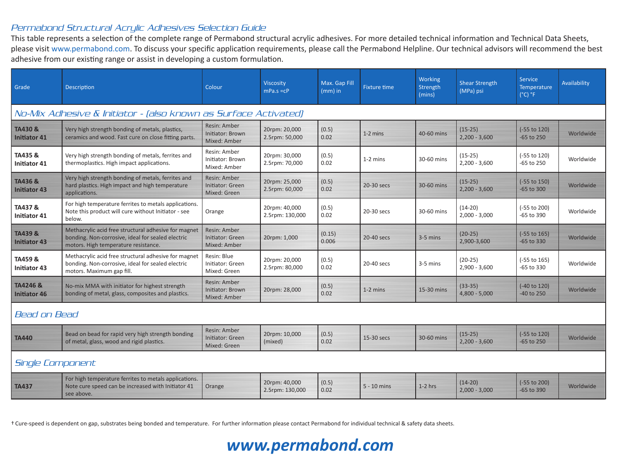#### Permabond Structural Acrylic Adhesives Selection Guide

This table represents a selection of the complete range of Permabond structural acrylic adhesives. For more detailed technical information and Technical Data Sheets, please visit www.permabond.com. To discuss your specific application requirements, please call the Permabond Helpline. Our technical advisors will recommend the best adhesive from our existing range or assist in developing a custom formulation.

| Grade                                                           | <b>Description</b>                                                                                                                                | Colour                                           | <b>Viscosity</b><br>$mPa.s = cP$ | Max. Gap Fill<br>$(mm)$ in | <b>Fixture time</b> | Working<br>Strength<br>(mins) | <b>Shear Strength</b><br>(MPa) psi | <b>Service</b><br>Temperature<br>$(^{\circ}C)$ $^{\circ}F$ | Availability |  |  |
|-----------------------------------------------------------------|---------------------------------------------------------------------------------------------------------------------------------------------------|--------------------------------------------------|----------------------------------|----------------------------|---------------------|-------------------------------|------------------------------------|------------------------------------------------------------|--------------|--|--|
| No-Mix Adhesive & Initiator - (also known as Surface Activated) |                                                                                                                                                   |                                                  |                                  |                            |                     |                               |                                    |                                                            |              |  |  |
| TA430 &<br>Initiator 41                                         | Very high strength bonding of metals, plastics,<br>ceramics and wood. Fast cure on close fitting parts.                                           | Resin: Amber<br>Initiator: Brown<br>Mixed: Amber | 20rpm: 20,000<br>2.5rpm: 50,000  | (0.5)<br>0.02              | $1-2$ mins          | 40-60 mins                    | $(15-25)$<br>$2,200 - 3,600$       | (-55 to 120)<br>$-65$ to 250                               | Worldwide    |  |  |
| TA435 &<br><b>Initiator 41</b>                                  | Very high strength bonding of metals, ferrites and<br>thermoplastics. High impact applications.                                                   | Resin: Amber<br>Initiator: Brown<br>Mixed: Amber | 20rpm: 30,000<br>2.5rpm: 70,000  | (0.5)<br>0.02              | $1-2$ mins          | 30-60 mins                    | $(15-25)$<br>$2,200 - 3,600$       | (-55 to 120)<br>$-65$ to 250                               | Worldwide    |  |  |
| TA436 &<br><b>Initiator 43</b>                                  | Very high strength bonding of metals, ferrites and<br>hard plastics. High impact and high temperature<br>applications.                            | Resin: Amber<br>Initiator: Green<br>Mixed: Green | 20rpm: 25,000<br>2.5rpm: 60,000  | (0.5)<br>0.02              | 20-30 secs          | 30-60 mins                    | $(15-25)$<br>$2,200 - 3,600$       | $(-55$ to 150)<br>$-65$ to 300                             | Worldwide    |  |  |
| TA437 &<br><b>Initiator 41</b>                                  | For high temperature ferrites to metals applications.<br>Note this product will cure without Initiator - see<br>below.                            | Orange                                           | 20rpm: 40,000<br>2.5rpm: 130,000 | (0.5)<br>0.02              | 20-30 secs          | 30-60 mins                    | $(14-20)$<br>$2,000 - 3,000$       | (-55 to 200)<br>$-65$ to 390                               | Worldwide    |  |  |
| TA439 &<br><b>Initiator 43</b>                                  | Methacrylic acid free structural adhesive for magnet<br>bonding. Non-corrosive, ideal for sealed electric<br>motors. High temperature resistance. | Resin: Amber<br>Initiator: Green<br>Mixed: Amber | 20rpm: 1,000                     | (0.15)<br>0.006            | 20-40 secs          | $3-5$ mins                    | $(20-25)$<br>2,900-3,600           | $(-55$ to 165)<br>$-65$ to 330                             | Worldwide    |  |  |
| TA459&<br><b>Initiator 43</b>                                   | Methacrylic acid free structural adhesive for magnet<br>bonding. Non-corrosive, ideal for sealed electric<br>motors. Maximum gap fill.            | Resin: Blue<br>Initiator: Green<br>Mixed: Green  | 20rpm: 20,000<br>2.5rpm: 80,000  | (0.5)<br>0.02              | 20-40 secs          | 3-5 mins                      | $(20-25)$<br>$2,900 - 3,600$       | (-55 to 165)<br>$-65$ to 330                               | Worldwide    |  |  |
| TA4246 &<br><b>Initiator 46</b>                                 | No-mix MMA with initiator for highest strength<br>bonding of metal, glass, composites and plastics.                                               | Resin: Amber<br>Initiator: Brown<br>Mixed: Amber | 20rpm: 28,000                    | (0.5)<br>0.02              | $1-2$ mins          | 15-30 mins                    | $(33-35)$<br>$4,800 - 5,000$       | (-40 to 120)<br>$-40$ to 250                               | Worldwide    |  |  |
| Bead on Bead                                                    |                                                                                                                                                   |                                                  |                                  |                            |                     |                               |                                    |                                                            |              |  |  |
| <b>TA440</b>                                                    | Bead on bead for rapid very high strength bonding<br>of metal, glass, wood and rigid plastics.                                                    | Resin: Amber<br>Initiator: Green<br>Mixed: Green | 20rpm: 10,000<br>(mixed)         | (0.5)<br>0.02              | 15-30 secs          | 30-60 mins                    | $(15-25)$<br>$2,200 - 3,600$       | (-55 to 120)<br>$-65$ to 250                               | Worldwide    |  |  |
| Single Component                                                |                                                                                                                                                   |                                                  |                                  |                            |                     |                               |                                    |                                                            |              |  |  |
| <b>TA437</b>                                                    | For high temperature ferrites to metals applications.<br>Note cure speed can be increased with Initiator 41<br>see above.                         | Orange                                           | 20rpm: 40,000<br>2.5rpm: 130,000 | (0.5)<br>0.02              | $5 - 10$ mins       | $1-2$ hrs                     | $(14-20)$<br>$2,000 - 3,000$       | (-55 to 200)<br>$-65$ to 390                               | Worldwide    |  |  |

† Cure-speed is dependent on gap, substrates being bonded and temperature. For further information please contact Permabond for individual technical & safety data sheets.

### *www.permabond.com*